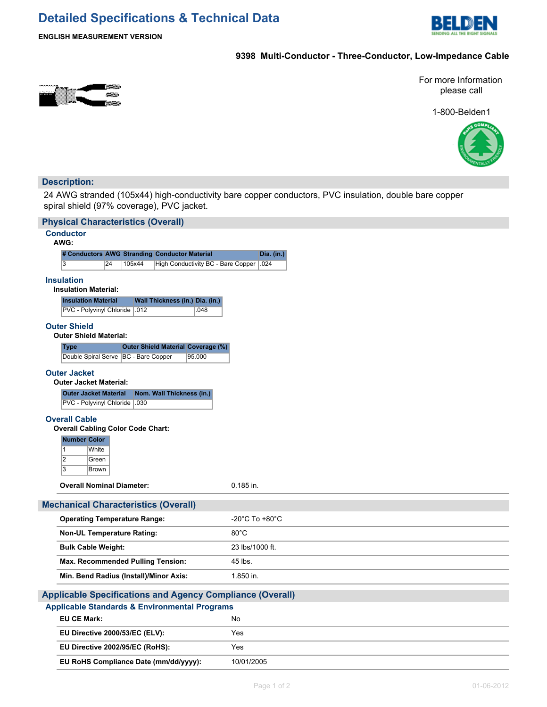# **Detailed Specifications & Technical Data**



**ENGLISH MEASUREMENT VERSION**

# **9398 Multi-Conductor - Three-Conductor, Low-Impedance Cable**



For more Information please call

1-800-Belden1



# **Description:**

24 AWG stranded (105x44) high-conductivity bare copper conductors, PVC insulation, double bare copper spiral shield (97% coverage), PVC jacket.

| <b>Physical Characteristics (Overall)</b>                                       |                 |
|---------------------------------------------------------------------------------|-----------------|
| <b>Conductor</b><br>AWG:                                                        |                 |
| # Conductors AWG Stranding Conductor Material                                   | Dia. (in.)      |
| $\overline{\overline{3}}$<br>24<br>105x44<br>High Conductivity BC - Bare Copper | .024            |
| <b>Insulation</b><br><b>Insulation Material:</b>                                |                 |
| <b>Insulation Material</b><br>Wall Thickness (in.) Dia. (in.)                   |                 |
| PVC - Polyvinyl Chloride .012<br>.048                                           |                 |
| <b>Outer Shield</b><br><b>Outer Shield Material:</b>                            |                 |
| <b>Outer Shield Material Coverage (%)</b><br><b>Type</b>                        |                 |
| Double Spiral Serve   BC - Bare Copper<br>95.000                                |                 |
| <b>Outer Jacket</b><br><b>Outer Jacket Material:</b>                            |                 |
| <b>Outer Jacket Material</b><br>Nom. Wall Thickness (in.)                       |                 |
| PVC - Polyvinyl Chloride   .030                                                 |                 |
| <b>Overall Cable</b>                                                            |                 |
| <b>Overall Cabling Color Code Chart:</b><br><b>Number Color</b>                 |                 |
| $\overline{1}$<br>White<br>$\overline{2}$<br>Green<br>$\overline{3}$<br>Brown   |                 |
| <b>Overall Nominal Diameter:</b>                                                | $0.185$ in.     |
| <b>Mechanical Characteristics (Overall)</b>                                     |                 |
| <b>Operating Temperature Range:</b>                                             | -20°C To +80°C  |
| <b>Non-UL Temperature Rating:</b>                                               | $80^{\circ}$ C  |
| <b>Bulk Cable Weight:</b>                                                       | 23 lbs/1000 ft. |
| <b>Max. Recommended Pulling Tension:</b>                                        | 45 lbs.         |
| Min. Bend Radius (Install)/Minor Axis:                                          | 1.850 in.       |
| <b>Applicable Specifications and Agency Compliance (Overall)</b>                |                 |
| <b>Applicable Standards &amp; Environmental Programs</b>                        |                 |
| <b>EU CE Mark:</b>                                                              | No              |
| EU Directive 2000/53/EC (ELV):                                                  | Yes             |
| EU Directive 2002/95/EC (RoHS):                                                 | Yes             |
| EU RoHS Compliance Date (mm/dd/yyyy):                                           | 10/01/2005      |